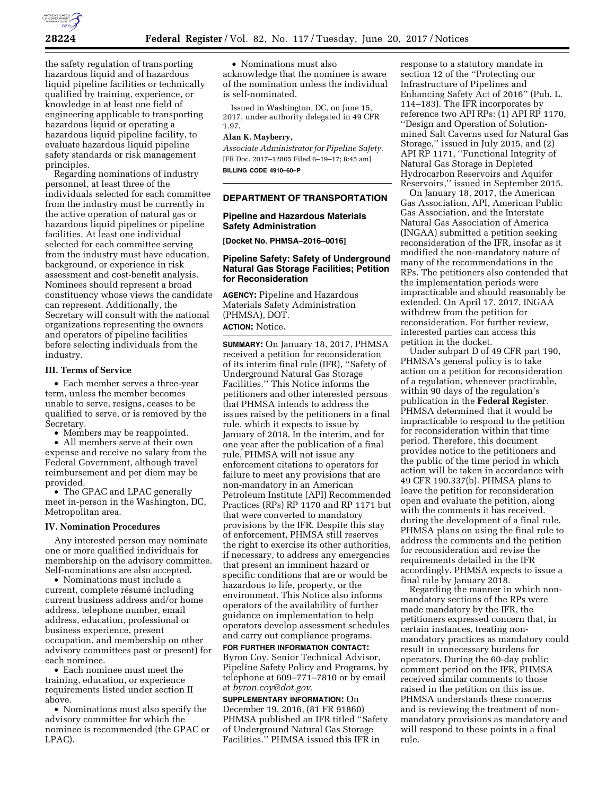

the safety regulation of transporting hazardous liquid and of hazardous liquid pipeline facilities or technically qualified by training, experience, or knowledge in at least one field of engineering applicable to transporting hazardous liquid or operating a hazardous liquid pipeline facility, to evaluate hazardous liquid pipeline safety standards or risk management principles.

Regarding nominations of industry personnel, at least three of the individuals selected for each committee from the industry must be currently in the active operation of natural gas or hazardous liquid pipelines or pipeline facilities. At least one individual selected for each committee serving from the industry must have education, background, or experience in risk assessment and cost-benefit analysis. Nominees should represent a broad constituency whose views the candidate can represent. Additionally, the Secretary will consult with the national organizations representing the owners and operators of pipeline facilities before selecting individuals from the industry.

#### **III. Terms of Service**

• Each member serves a three-year term, unless the member becomes unable to serve, resigns, ceases to be qualified to serve, or is removed by the Secretary.

• Members may be reappointed.

• All members serve at their own expense and receive no salary from the Federal Government, although travel reimbursement and per diem may be provided.

• The GPAC and LPAC generally meet in-person in the Washington, DC, Metropolitan area.

#### **IV. Nomination Procedures**

Any interested person may nominate one or more qualified individuals for membership on the advisory committee. Self-nominations are also accepted.

• Nominations must include a current, complete résumé including current business address and/or home address, telephone number, email address, education, professional or business experience, present occupation, and membership on other advisory committees past or present) for each nominee.

• Each nominee must meet the training, education, or experience requirements listed under section II above.

• Nominations must also specify the advisory committee for which the nominee is recommended (the GPAC or LPAC).

• Nominations must also acknowledge that the nominee is aware of the nomination unless the individual is self-nominated.

Issued in Washington, DC, on June 15, 2017, under authority delegated in 49 CFR 1.97.

# **Alan K. Mayberry,**

*Associate Administrator for Pipeline Safety.*  [FR Doc. 2017–12805 Filed 6–19–17; 8:45 am] **BILLING CODE 4910–60–P** 

# **DEPARTMENT OF TRANSPORTATION**

## **Pipeline and Hazardous Materials Safety Administration**

**[Docket No. PHMSA–2016–0016]** 

## **Pipeline Safety: Safety of Underground Natural Gas Storage Facilities; Petition for Reconsideration**

**AGENCY:** Pipeline and Hazardous Materials Safety Administration (PHMSA), DOT. **ACTION:** Notice.

**SUMMARY:** On January 18, 2017, PHMSA received a petition for reconsideration of its interim final rule (IFR), ''Safety of Underground Natural Gas Storage Facilities.'' This Notice informs the petitioners and other interested persons that PHMSA intends to address the issues raised by the petitioners in a final rule, which it expects to issue by January of 2018. In the interim, and for one year after the publication of a final rule, PHMSA will not issue any enforcement citations to operators for failure to meet any provisions that are non-mandatory in an American Petroleum Institute (API) Recommended Practices (RPs) RP 1170 and RP 1171 but that were converted to mandatory provisions by the IFR. Despite this stay of enforcement, PHMSA still reserves the right to exercise its other authorities, if necessary, to address any emergencies that present an imminent hazard or specific conditions that are or would be hazardous to life, property, or the environment. This Notice also informs operators of the availability of further guidance on implementation to help operators develop assessment schedules and carry out compliance programs.

**FOR FURTHER INFORMATION CONTACT:**  Byron Coy, Senior Technical Advisor, Pipeline Safety Policy and Programs, by telephone at 609–771–7810 or by email at *[byron.coy@dot.gov.](mailto:byron.coy@dot.gov)* 

**SUPPLEMENTARY INFORMATION:** On December 19, 2016, (81 FR 91860) PHMSA published an IFR titled ''Safety of Underground Natural Gas Storage Facilities.'' PHMSA issued this IFR in

response to a statutory mandate in section 12 of the ''Protecting our Infrastructure of Pipelines and Enhancing Safety Act of 2016'' (Pub. L. 114–183). The IFR incorporates by reference two API RPs: (1) API RP 1170, ''Design and Operation of Solutionmined Salt Caverns used for Natural Gas Storage,'' issued in July 2015, and (2) API RP 1171, ''Functional Integrity of Natural Gas Storage in Depleted Hydrocarbon Reservoirs and Aquifer Reservoirs,'' issued in September 2015.

On January 18, 2017, the American Gas Association, API, American Public Gas Association, and the Interstate Natural Gas Association of America (INGAA) submitted a petition seeking reconsideration of the IFR, insofar as it modified the non-mandatory nature of many of the recommendations in the RPs. The petitioners also contended that the implementation periods were impracticable and should reasonably be extended. On April 17, 2017, INGAA withdrew from the petition for reconsideration. For further review, interested parties can access this petition in the docket.

Under subpart D of 49 CFR part 190, PHMSA's general policy is to take action on a petition for reconsideration of a regulation, whenever practicable, within 90 days of the regulation's publication in the **Federal Register**. PHMSA determined that it would be impracticable to respond to the petition for reconsideration within that time period. Therefore, this document provides notice to the petitioners and the public of the time period in which action will be taken in accordance with 49 CFR 190.337(b). PHMSA plans to leave the petition for reconsideration open and evaluate the petition, along with the comments it has received. during the development of a final rule. PHMSA plans on using the final rule to address the comments and the petition for reconsideration and revise the requirements detailed in the IFR accordingly. PHMSA expects to issue a final rule by January 2018.

Regarding the manner in which nonmandatory sections of the RPs were made mandatory by the IFR, the petitioners expressed concern that, in certain instances, treating nonmandatory practices as mandatory could result in unnecessary burdens for operators. During the 60-day public comment period on the IFR, PHMSA received similar comments to those raised in the petition on this issue. PHMSA understands these concerns and is reviewing the treatment of nonmandatory provisions as mandatory and will respond to these points in a final rule.